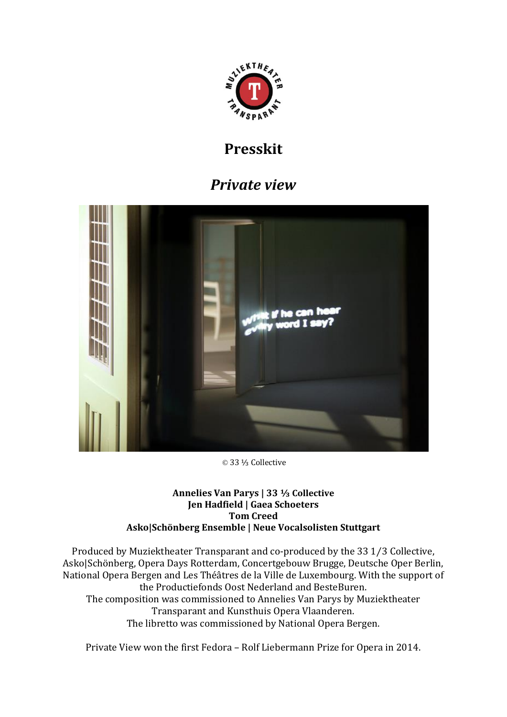

# **Presskit**

# *Private view*



© 33 ⅓ Collective

#### **Annelies Van Parys | 33 ⅓ Collective Jen Hadfield | Gaea Schoeters Tom Creed Asko|Schönberg Ensemble | Neue Vocalsolisten Stuttgart**

Produced by Muziektheater Transparant and co-produced by the 33 1⁄3 Collective, Asko|Schönberg, Opera Days Rotterdam, Concertgebouw Brugge, Deutsche Oper Berlin, National Opera Bergen and Les Théâtres de la Ville de Luxembourg. With the support of the Productiefonds Oost Nederland and BesteBuren. The composition was commissioned to Annelies Van Parys by Muziektheater Transparant and Kunsthuis Opera Vlaanderen. The libretto was commissioned by National Opera Bergen.

Private View won the first Fedora – Rolf Liebermann Prize for Opera in 2014.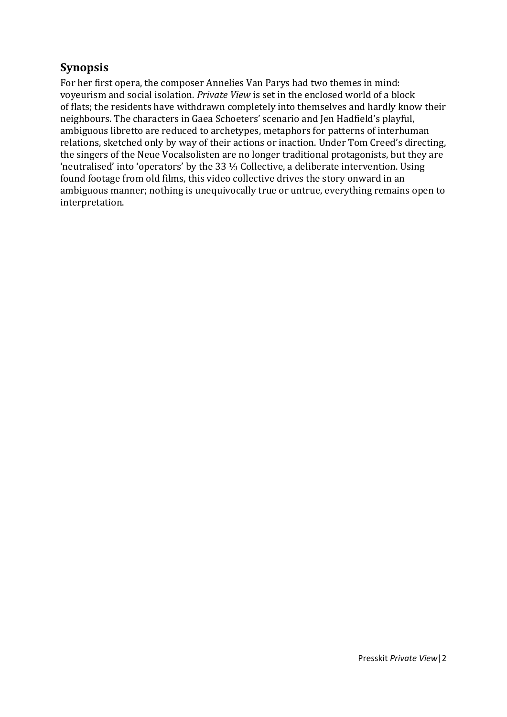# **Synopsis**

For her first opera, the composer Annelies Van Parys had two themes in mind: voyeurism and social isolation. *Private View* is set in the enclosed world of a block of flats; the residents have withdrawn completely into themselves and hardly know their neighbours. The characters in Gaea Schoeters' scenario and Jen Hadfield's playful, ambiguous libretto are reduced to archetypes, metaphors for patterns of interhuman relations, sketched only by way of their actions or inaction. Under Tom Creed's directing, the singers of the Neue Vocalsolisten are no longer traditional protagonists, but they are 'neutralised' into 'operators' by the 33 ⅓ Collective, a deliberate intervention. Using found footage from old films, this video collective drives the story onward in an ambiguous manner; nothing is unequivocally true or untrue, everything remains open to interpretation.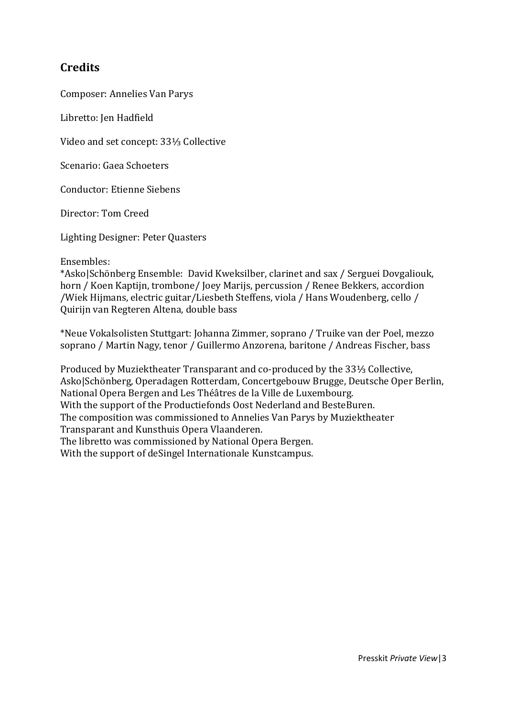# **Credits**

Composer: Annelies Van Parys

Libretto: Jen Hadfield

Video and set concept: 33⅓ Collective

Scenario: Gaea Schoeters

Conductor: Etienne Siebens

Director: Tom Creed

Lighting Designer: Peter Quasters

Ensembles:

\*Asko|Schönberg Ensemble: David Kweksilber, clarinet and sax / Serguei Dovgaliouk, horn / Koen Kaptijn, trombone/ Joey Marijs, percussion / Renee Bekkers, accordion /Wiek Hijmans, electric guitar/Liesbeth Steffens, viola / Hans Woudenberg, cello / Quirijn van Regteren Altena, double bass

\*Neue Vokalsolisten Stuttgart: Johanna Zimmer, soprano / Truike van der Poel, mezzo soprano / Martin Nagy, tenor / Guillermo Anzorena, baritone / Andreas Fischer, bass

Produced by Muziektheater Transparant and co-produced by the 33⅓ Collective, Asko|Schönberg, Operadagen Rotterdam, Concertgebouw Brugge, Deutsche Oper Berlin, National Opera Bergen and Les Théâtres de la Ville de Luxembourg. With the support of the Productiefonds Oost Nederland and BesteBuren. The composition was commissioned to Annelies Van Parys by Muziektheater Transparant and Kunsthuis Opera Vlaanderen. The libretto was commissioned by National Opera Bergen. With the support of deSingel Internationale Kunstcampus.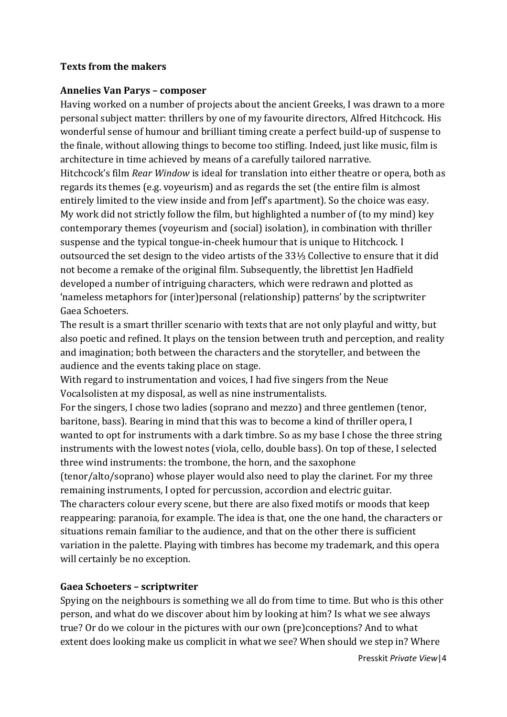#### **Texts from the makers**

#### **Annelies Van Parys – composer**

Having worked on a number of projects about the ancient Greeks, I was drawn to a more personal subject matter: thrillers by one of my favourite directors, Alfred Hitchcock. His wonderful sense of humour and brilliant timing create a perfect build-up of suspense to the finale, without allowing things to become too stifling. Indeed, just like music, film is architecture in time achieved by means of a carefully tailored narrative.

Hitchcock's film *Rear Window* is ideal for translation into either theatre or opera, both as regards its themes (e.g. voyeurism) and as regards the set (the entire film is almost entirely limited to the view inside and from Jeff's apartment). So the choice was easy. My work did not strictly follow the film, but highlighted a number of (to my mind) key contemporary themes (voyeurism and (social) isolation), in combination with thriller suspense and the typical tongue-in-cheek humour that is unique to Hitchcock. I outsourced the set design to the video artists of the 33⅓ Collective to ensure that it did not become a remake of the original film. Subsequently, the librettist Jen Hadfield developed a number of intriguing characters, which were redrawn and plotted as 'nameless metaphors for (inter)personal (relationship) patterns' by the scriptwriter Gaea Schoeters.

The result is a smart thriller scenario with texts that are not only playful and witty, but also poetic and refined. It plays on the tension between truth and perception, and reality and imagination; both between the characters and the storyteller, and between the audience and the events taking place on stage.

With regard to instrumentation and voices, I had five singers from the Neue Vocalsolisten at my disposal, as well as nine instrumentalists.

For the singers, I chose two ladies (soprano and mezzo) and three gentlemen (tenor, baritone, bass). Bearing in mind that this was to become a kind of thriller opera, I wanted to opt for instruments with a dark timbre. So as my base I chose the three string instruments with the lowest notes (viola, cello, double bass). On top of these, I selected three wind instruments: the trombone, the horn, and the saxophone

(tenor/alto/soprano) whose player would also need to play the clarinet. For my three remaining instruments, I opted for percussion, accordion and electric guitar.

The characters colour every scene, but there are also fixed motifs or moods that keep reappearing: paranoia, for example. The idea is that, one the one hand, the characters or situations remain familiar to the audience, and that on the other there is sufficient variation in the palette. Playing with timbres has become my trademark, and this opera will certainly be no exception.

## **Gaea Schoeters – scriptwriter**

Spying on the neighbours is something we all do from time to time. But who is this other person, and what do we discover about him by looking at him? Is what we see always true? Or do we colour in the pictures with our own (pre)conceptions? And to what extent does looking make us complicit in what we see? When should we step in? Where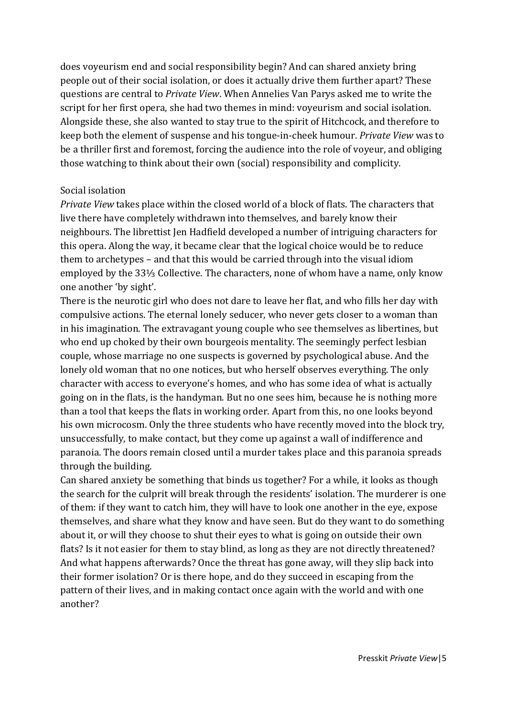does voyeurism end and social responsibility begin? And can shared anxiety bring people out of their social isolation, or does it actually drive them further apart? These questions are central to *Private View*. When Annelies Van Parys asked me to write the script for her first opera, she had two themes in mind: voyeurism and social isolation. Alongside these, she also wanted to stay true to the spirit of Hitchcock, and therefore to keep both the element of suspense and his tongue-in-cheek humour. *Private View* was to be a thriller first and foremost, forcing the audience into the role of voyeur, and obliging those watching to think about their own (social) responsibility and complicity.

#### Social isolation

*Private View* takes place within the closed world of a block of flats. The characters that live there have completely withdrawn into themselves, and barely know their neighbours. The librettist Jen Hadfield developed a number of intriguing characters for this opera. Along the way, it became clear that the logical choice would be to reduce them to archetypes – and that this would be carried through into the visual idiom employed by the 33⅓ Collective. The characters, none of whom have a name, only know one another 'by sight'.

There is the neurotic girl who does not dare to leave her flat, and who fills her day with compulsive actions. The eternal lonely seducer, who never gets closer to a woman than in his imagination. The extravagant young couple who see themselves as libertines, but who end up choked by their own bourgeois mentality. The seemingly perfect lesbian couple, whose marriage no one suspects is governed by psychological abuse. And the lonely old woman that no one notices, but who herself observes everything. The only character with access to everyone's homes, and who has some idea of what is actually going on in the flats, is the handyman. But no one sees him, because he is nothing more than a tool that keeps the flats in working order. Apart from this, no one looks beyond his own microcosm. Only the three students who have recently moved into the block try, unsuccessfully, to make contact, but they come up against a wall of indifference and paranoia. The doors remain closed until a murder takes place and this paranoia spreads through the building.

Can shared anxiety be something that binds us together? For a while, it looks as though the search for the culprit will break through the residents' isolation. The murderer is one of them: if they want to catch him, they will have to look one another in the eye, expose themselves, and share what they know and have seen. But do they want to do something about it, or will they choose to shut their eyes to what is going on outside their own flats? Is it not easier for them to stay blind, as long as they are not directly threatened? And what happens afterwards? Once the threat has gone away, will they slip back into their former isolation? Or is there hope, and do they succeed in escaping from the pattern of their lives, and in making contact once again with the world and with one another?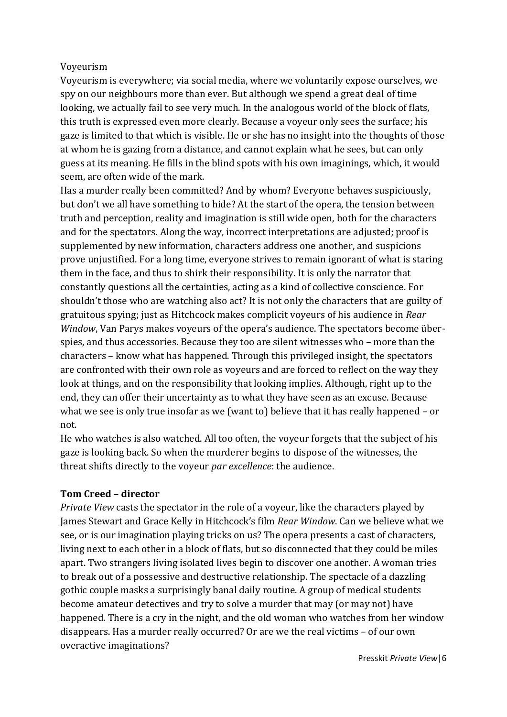## Voyeurism

Voyeurism is everywhere; via social media, where we voluntarily expose ourselves, we spy on our neighbours more than ever. But although we spend a great deal of time looking, we actually fail to see very much. In the analogous world of the block of flats, this truth is expressed even more clearly. Because a voyeur only sees the surface; his gaze is limited to that which is visible. He or she has no insight into the thoughts of those at whom he is gazing from a distance, and cannot explain what he sees, but can only guess at its meaning. He fills in the blind spots with his own imaginings, which, it would seem, are often wide of the mark.

Has a murder really been committed? And by whom? Everyone behaves suspiciously, but don't we all have something to hide? At the start of the opera, the tension between truth and perception, reality and imagination is still wide open, both for the characters and for the spectators. Along the way, incorrect interpretations are adjusted; proof is supplemented by new information, characters address one another, and suspicions prove unjustified. For a long time, everyone strives to remain ignorant of what is staring them in the face, and thus to shirk their responsibility. It is only the narrator that constantly questions all the certainties, acting as a kind of collective conscience. For shouldn't those who are watching also act? It is not only the characters that are guilty of gratuitous spying; just as Hitchcock makes complicit voyeurs of his audience in *Rear Window*, Van Parys makes voyeurs of the opera's audience. The spectators become überspies, and thus accessories. Because they too are silent witnesses who – more than the characters – know what has happened. Through this privileged insight, the spectators are confronted with their own role as voyeurs and are forced to reflect on the way they look at things, and on the responsibility that looking implies. Although, right up to the end, they can offer their uncertainty as to what they have seen as an excuse. Because what we see is only true insofar as we (want to) believe that it has really happened – or not.

He who watches is also watched. All too often, the voyeur forgets that the subject of his gaze is looking back. So when the murderer begins to dispose of the witnesses, the threat shifts directly to the voyeur *par excellence*: the audience.

#### **Tom Creed – director**

*Private View* casts the spectator in the role of a voyeur, like the characters played by James Stewart and Grace Kelly in Hitchcock's film *Rear Window*. Can we believe what we see, or is our imagination playing tricks on us? The opera presents a cast of characters, living next to each other in a block of flats, but so disconnected that they could be miles apart. Two strangers living isolated lives begin to discover one another. A woman tries to break out of a possessive and destructive relationship. The spectacle of a dazzling gothic couple masks a surprisingly banal daily routine. A group of medical students become amateur detectives and try to solve a murder that may (or may not) have happened. There is a cry in the night, and the old woman who watches from her window disappears. Has a murder really occurred? Or are we the real victims – of our own overactive imaginations?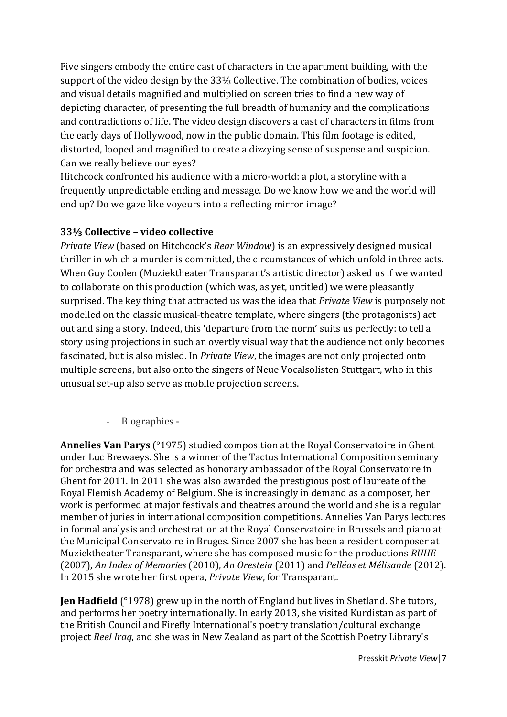Five singers embody the entire cast of characters in the apartment building, with the support of the video design by the 33⅓ Collective. The combination of bodies, voices and visual details magnified and multiplied on screen tries to find a new way of depicting character, of presenting the full breadth of humanity and the complications and contradictions of life. The video design discovers a cast of characters in films from the early days of Hollywood, now in the public domain. This film footage is edited, distorted, looped and magnified to create a dizzying sense of suspense and suspicion. Can we really believe our eyes?

Hitchcock confronted his audience with a micro-world: a plot, a storyline with a frequently unpredictable ending and message. Do we know how we and the world will end up? Do we gaze like voyeurs into a reflecting mirror image?

## **33⅓ Collective – video collective**

*Private View* (based on Hitchcock's *Rear Window*) is an expressively designed musical thriller in which a murder is committed, the circumstances of which unfold in three acts. When Guy Coolen (Muziektheater Transparant's artistic director) asked us if we wanted to collaborate on this production (which was, as yet, untitled) we were pleasantly surprised. The key thing that attracted us was the idea that *Private View* is purposely not modelled on the classic musical-theatre template, where singers (the protagonists) act out and sing a story. Indeed, this 'departure from the norm' suits us perfectly: to tell a story using projections in such an overtly visual way that the audience not only becomes fascinated, but is also misled. In *Private View*, the images are not only projected onto multiple screens, but also onto the singers of Neue Vocalsolisten Stuttgart, who in this unusual set-up also serve as mobile projection screens.

## - Biographies -

**Annelies Van Parys** (°1975) studied composition at the Royal Conservatoire in Ghent under Luc Brewaeys. She is a winner of the Tactus International Composition seminary for orchestra and was selected as honorary ambassador of the Royal Conservatoire in Ghent for 2011. In 2011 she was also awarded the prestigious post of laureate of the Royal Flemish Academy of Belgium. She is increasingly in demand as a composer, her work is performed at major festivals and theatres around the world and she is a regular member of juries in international composition competitions. Annelies Van Parys lectures in formal analysis and orchestration at the Royal Conservatoire in Brussels and piano at the Municipal Conservatoire in Bruges. Since 2007 she has been a resident composer at Muziektheater Transparant, where she has composed music for the productions *RUHE*  (2007), *An Index of Memories* (2010), *An Oresteia* (2011) and *Pelléas et Mélisande* (2012). In 2015 she wrote her first opera, *Private View*, for Transparant*.*

**Jen Hadfield** (°1978) grew up in the north of England but lives in Shetland. She tutors, and performs her poetry internationally. In early 2013, she visited Kurdistan as part of the British Council and Firefly International's poetry translation/cultural exchange project *Reel Iraq,* and she was in New Zealand as part of the Scottish Poetry Library's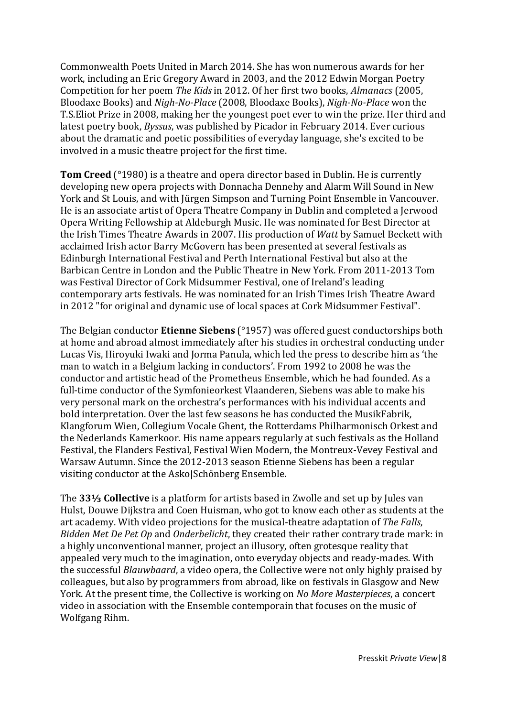Commonwealth Poets United in March 2014. She has won numerous awards for her work, including an Eric Gregory Award in 2003, and the 2012 Edwin Morgan Poetry Competition for her poem *The Kids* in 2012. Of her first two books, *Almanacs* (2005, Bloodaxe Books) and *Nigh-No-Place* (2008, Bloodaxe Books), *Nigh-No-Place* won the T.S.Eliot Prize in 2008, making her the youngest poet ever to win the prize. Her third and latest poetry book, *Byssus*, was published by Picador in February 2014. Ever curious about the dramatic and poetic possibilities of everyday language, she's excited to be involved in a music theatre project for the first time.

**Tom Creed** (°1980) is a theatre and opera director based in Dublin. He is currently developing new opera projects with Donnacha Dennehy and Alarm Will Sound in New York and St Louis, and with Jürgen Simpson and Turning Point Ensemble in Vancouver. He is an associate artist of Opera Theatre Company in Dublin and completed a Jerwood Opera Writing Fellowship at Aldeburgh Music. He was nominated for Best Director at the Irish Times Theatre Awards in 2007. His production of *Watt* by Samuel Beckett with acclaimed Irish actor Barry McGovern has been presented at several festivals as Edinburgh International Festival and Perth International Festival but also at the Barbican Centre in London and the Public Theatre in New York. From 2011-2013 Tom was Festival Director of Cork Midsummer Festival, one of Ireland's leading contemporary arts festivals. He was nominated for an Irish Times Irish Theatre Award in 2012 "for original and dynamic use of local spaces at Cork Midsummer Festival".

The Belgian conductor **Etienne Siebens** (°1957) was offered guest conductorships both at home and abroad almost immediately after his studies in orchestral conducting under Lucas Vis, Hiroyuki Iwaki and Jorma Panula, which led the press to describe him as 'the man to watch in a Belgium lacking in conductors'. From 1992 to 2008 he was the conductor and artistic head of the Prometheus Ensemble, which he had founded. As a full-time conductor of the Symfonieorkest Vlaanderen, Siebens was able to make his very personal mark on the orchestra's performances with his individual accents and bold interpretation. Over the last few seasons he has conducted the MusikFabrik, Klangforum Wien, Collegium Vocale Ghent, the Rotterdams Philharmonisch Orkest and the Nederlands Kamerkoor. His name appears regularly at such festivals as the Holland Festival, the Flanders Festival, Festival Wien Modern, the Montreux-Vevey Festival and Warsaw Autumn. Since the 2012-2013 season Etienne Siebens has been a regular visiting conductor at the Asko**|**Schönberg Ensemble.

The **33⅓ Collective** is a platform for artists based in Zwolle and set up by Jules van Hulst, Douwe Dijkstra and Coen Huisman, who got to know each other as students at the art academy. With video projections for the musical-theatre adaptation of *The Falls*, *Bidden Met De Pet Op* and *Onderbelicht*, they created their rather contrary trade mark: in a highly unconventional manner, project an illusory, often grotesque reality that appealed very much to the imagination, onto everyday objects and ready-mades. With the successful *Blauwbaard*, a video opera, the Collective were not only highly praised by colleagues, but also by programmers from abroad, like on festivals in Glasgow and New York. At the present time, the Collective is working on *No More Masterpieces*, a concert video in association with the Ensemble contemporain that focuses on the music of Wolfgang Rihm.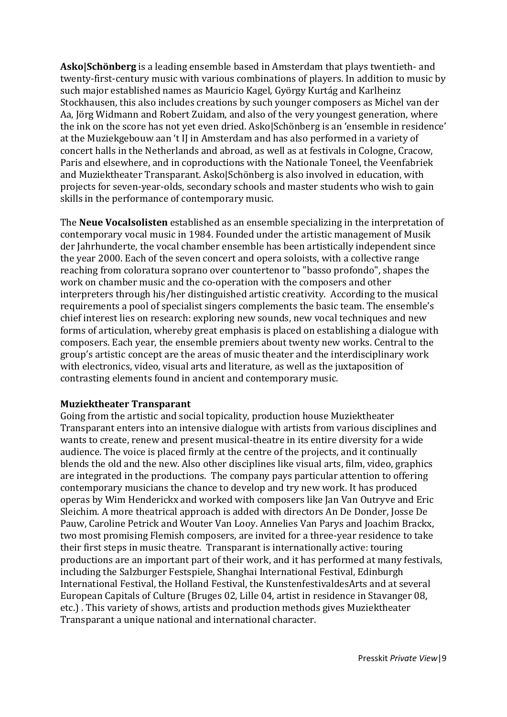**Asko|Schönberg** is a leading ensemble based in Amsterdam that plays twentieth- and twenty-first-century music with various combinations of players. In addition to music by such major established names as Mauricio Kagel, György Kurtág and Karlheinz Stockhausen, this also includes creations by such younger composers as Michel van der Aa, Jörg Widmann and Robert Zuidam, and also of the very youngest generation, where the ink on the score has not yet even dried. Asko|Schönberg is an 'ensemble in residence' at the Muziekgebouw aan 't IJ in Amsterdam and has also performed in a variety of concert halls in the Netherlands and abroad, as well as at festivals in Cologne, Cracow, Paris and elsewhere, and in coproductions with the Nationale Toneel, the Veenfabriek and Muziektheater Transparant. Asko|Schönberg is also involved in education, with projects for seven-year-olds, secondary schools and master students who wish to gain skills in the performance of contemporary music.

The **Neue Vocalsolisten** established as an ensemble specializing in the interpretation of contemporary vocal music in 1984. Founded under the artistic management of Musik der Jahrhunderte, the vocal chamber ensemble has been artistically independent since the year 2000. Each of the seven concert and opera soloists, with a collective range reaching from coloratura soprano over countertenor to "basso profondo", shapes the work on chamber music and the co-operation with the composers and other interpreters through his/her distinguished artistic creativity. According to the musical requirements a pool of specialist singers complements the basic team. The ensemble's chief interest lies on research: exploring new sounds, new vocal techniques and new forms of articulation, whereby great emphasis is placed on establishing a dialogue with composers. Each year, the ensemble premiers about twenty new works. Central to the group's artistic concept are the areas of music theater and the interdisciplinary work with electronics, video, visual arts and literature, as well as the juxtaposition of contrasting elements found in ancient and contemporary music.

#### **Muziektheater Transparant**

Going from the artistic and social topicality, production house Muziektheater Transparant enters into an intensive dialogue with artists from various disciplines and wants to create, renew and present musical-theatre in its entire diversity for a wide audience. The voice is placed firmly at the centre of the projects, and it continually blends the old and the new. Also other disciplines like visual arts, film, video, graphics are integrated in the productions. The company pays particular attention to offering contemporary musicians the chance to develop and try new work. It has produced operas by Wim Henderickx and worked with composers like Jan Van Outryve and Eric Sleichim. A more theatrical approach is added with directors An De Donder, Josse De Pauw, Caroline Petrick and Wouter Van Looy. Annelies Van Parys and Joachim Brackx, two most promising Flemish composers, are invited for a three-year residence to take their first steps in music theatre. Transparant is internationally active: touring productions are an important part of their work, and it has performed at many festivals, including the Salzburger Festspiele, Shanghai International Festival, Edinburgh International Festival, the Holland Festival, the KunstenfestivaldesArts and at several European Capitals of Culture (Bruges 02, Lille 04, artist in residence in Stavanger 08, etc.) . This variety of shows, artists and production methods gives Muziektheater Transparant a unique national and international character.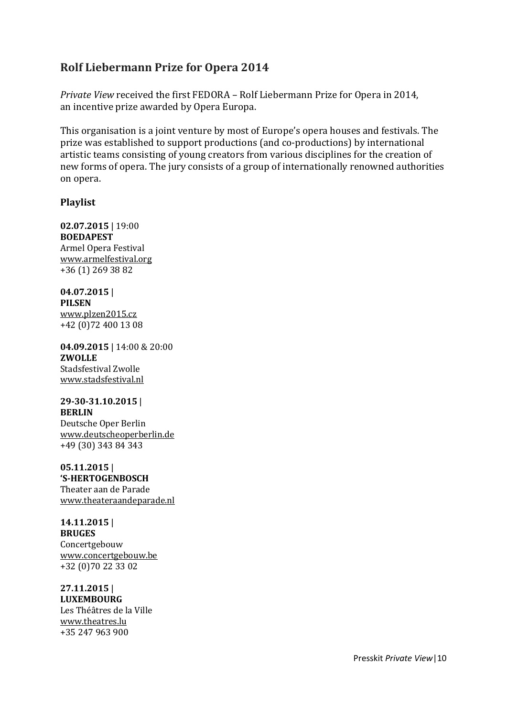## **Rolf Liebermann Prize for Opera 2014**

*Private View* received the first FEDORA – Rolf Liebermann Prize for Opera in 2014, an incentive prize awarded by Opera Europa.

This organisation is a joint venture by most of Europe's opera houses and festivals. The prize was established to support productions (and co-productions) by international artistic teams consisting of young creators from various disciplines for the creation of new forms of opera. The jury consists of a group of internationally renowned authorities on opera.

#### **Playlist**

**02.07.2015** | 19:00 **BOEDAPEST** Armel Opera Festival [www.armelfestival.org](http://www.armelfestival.org/) +36 (1) 269 38 82

**04.07.2015** | **PILSEN** [www.plzen2015.cz](http://www.plzen2015.cz/) +42 (0)72 400 13 08

**04.09.2015** | 14:00 & 20:00 **ZWOLLE** Stadsfestival Zwolle [www.stadsfestival.nl](http://www.stadsfestival.nl/)

**29-30-31.10.2015** | **BERLIN** Deutsche Oper Berlin [www.deutscheoperberlin.de](http://www.deutscheoperberlin.de/) +49 (30) 343 84 343

**05.11.2015** | **'S-HERTOGENBOSCH** Theater aan de Parade [www.theateraandeparade.nl](http://www.theateraandeparade.nl/)

**14.11.2015** | **BRUGES** Concertgebouw [www.concertgebouw.be](http://www.concertgebouw.be/) +32 (0)70 22 33 02

**27.11.2015** | **LUXEMBOURG** Les Théâtres de la Ville [www.theatres.lu](http://www.theatres.lu/) +35 247 963 900